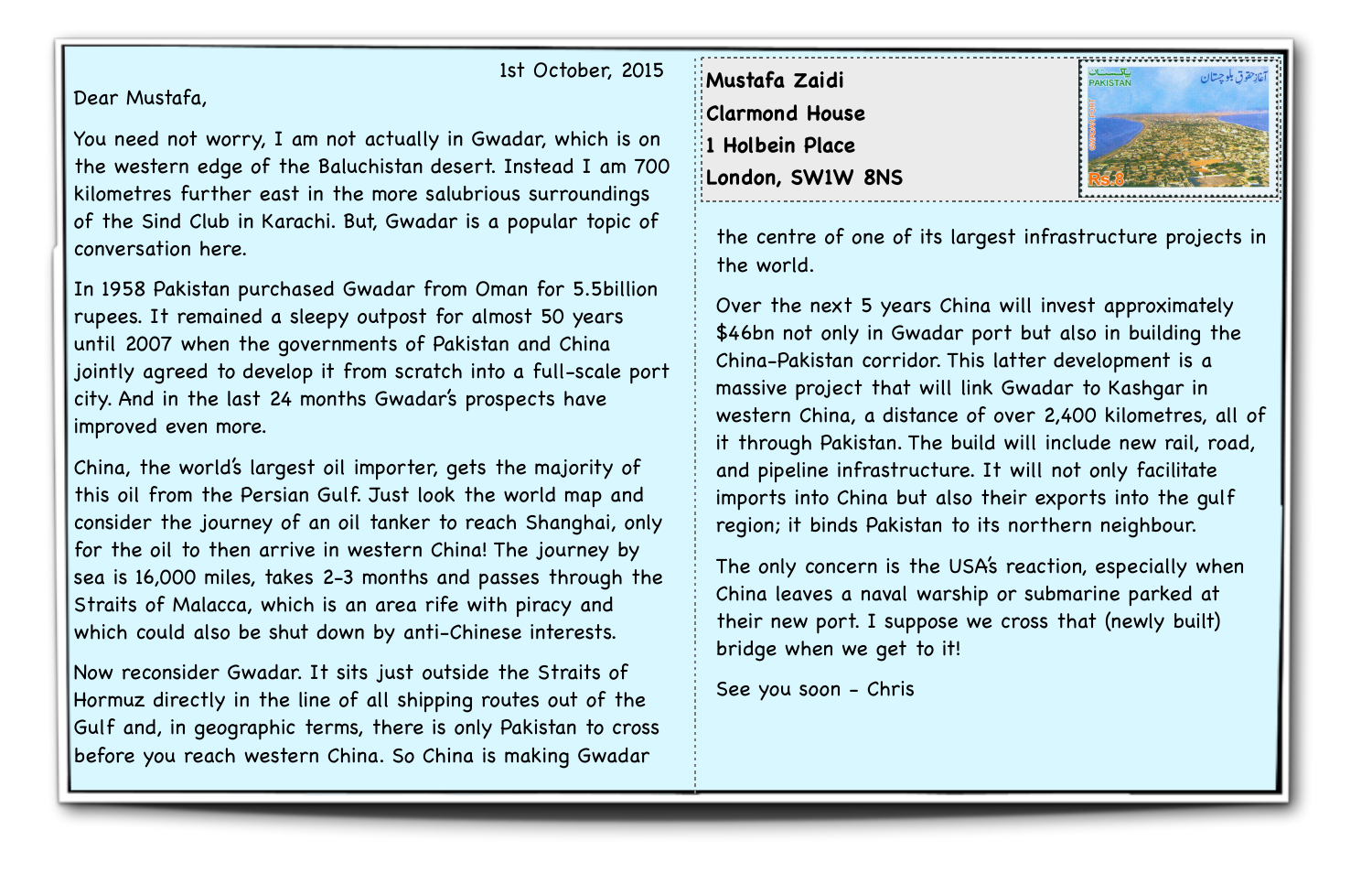1st October, 2015

Dear Mustafa,

You need not worry, I am not actually in Gwadar, which is on the western edge of the Baluchistan desert. Instead I am 700 kilometres further east in the more salubrious surroundings of the Sind Club in Karachi. But, Gwadar is a popular topic of conversation here.

In 1958 Pakistan purchased Gwadar from Oman for 5.5billion rupees. It remained a sleepy outpost for almost 50 years until 2007 when the governments of Pakistan and China jointly agreed to develop it from scratch into a full-scale port city. And in the last 24 months Gwadar's prospects have improved even more.

China, the world's largest oil importer, gets the majority of this oil from the Persian Gulf. Just look the world map and consider the journey of an oil tanker to reach Shanghai, only for the oil to then arrive in western China! The journey by sea is 16,000 miles, takes 2-3 months and passes through the Straits of Malacca, which is an area rife with piracy and which could also be shut down by anti-Chinese interests.

Now reconsider Gwadar. It sits just outside the Straits of Hormuz directly in the line of all shipping routes out of the Gulf and, in geographic terms, there is only Pakistan to cross before you reach western China. So China is making Gwadar

**Mustafa Zaidi Clarmond House 1 Holbein Place London, SW1W 8NS**



the centre of one of its largest infrastructure projects in the world.

Over the next 5 years China will invest approximately \$46bn not only in Gwadar port but also in building the China-Pakistan corridor. This latter development is a massive project that will link Gwadar to Kashgar in western China, a distance of over 2,400 kilometres, all of it through Pakistan. The build will include new rail, road, and pipeline infrastructure. It will not only facilitate imports into China but also their exports into the gulf region; it binds Pakistan to its northern neighbour.

The only concern is the USA's reaction, especially when China leaves a naval warship or submarine parked at their new port. I suppose we cross that (newly built) bridge when we get to it!

See you soon - Chris